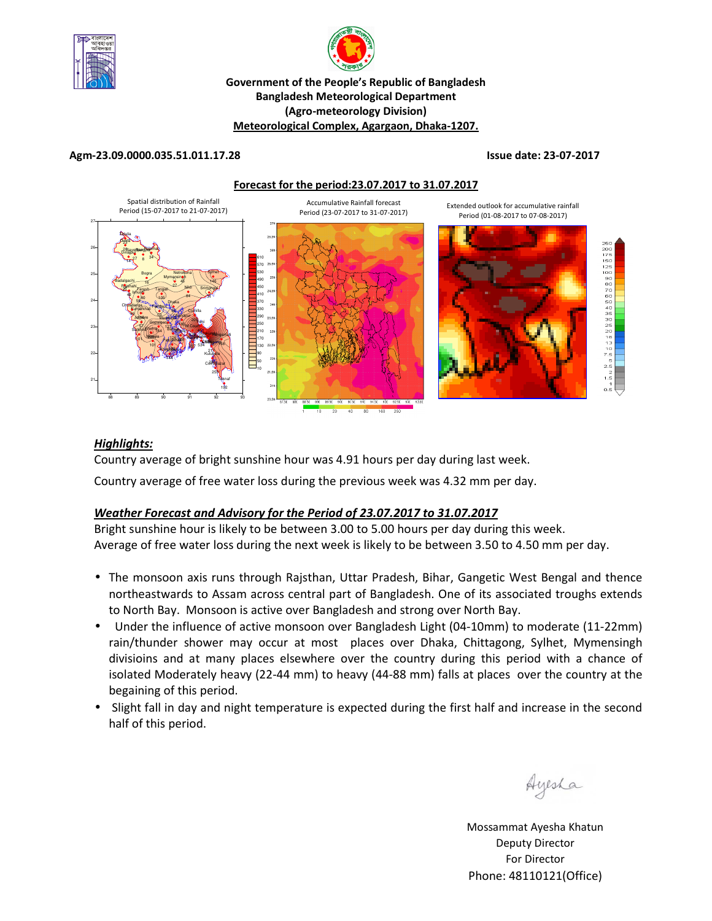



#### **Government of the People's Republic of Bangladesh Bangladesh Meteorological Department (Agro-meteorology Division) Meteorological Complex, Agargaon, Dhaka-1207.**

#### **Agm-23.09.0000.035.51.011.17.28 Issue date: 23-07-2017**

**Forecast for the period:23.07.2017 to 31.07.2017**



### *Highlights:*

Country average of bright sunshine hour was 4.91 hours per day during last week.

Country average of free water loss during the previous week was 4.32 mm per day.

### *Weather Forecast and Advisory for the Period of 23.07.2017 to 31.07.2017*

Bright sunshine hour is likely to be between 3.00 to 5.00 hours per day during this week. Average of free water loss during the next week is likely to be between 3.50 to 4.50 mm per day.

- The monsoon axis runs through Rajsthan, Uttar Pradesh, Bihar, Gangetic West Bengal and thence northeastwards to Assam across central part of Bangladesh. One of its associated troughs extends to North Bay. Monsoon is active over Bangladesh and strong over North Bay.
- Under the influence of active monsoon over Bangladesh Light (04-10mm) to moderate (11-22mm) rain/thunder shower may occur at most places over Dhaka, Chittagong, Sylhet, Mymensingh divisioins and at many places elsewhere over the country during this period with a chance of isolated Moderately heavy (22-44 mm) to heavy (44-88 mm) falls at places over the country at the begaining of this period.
- Slight fall in day and night temperature is expected during the first half and increase in the second half of this period.

Ayesha

Mossammat Ayesha Khatun Deputy Director For Director Phone: 48110121(Office)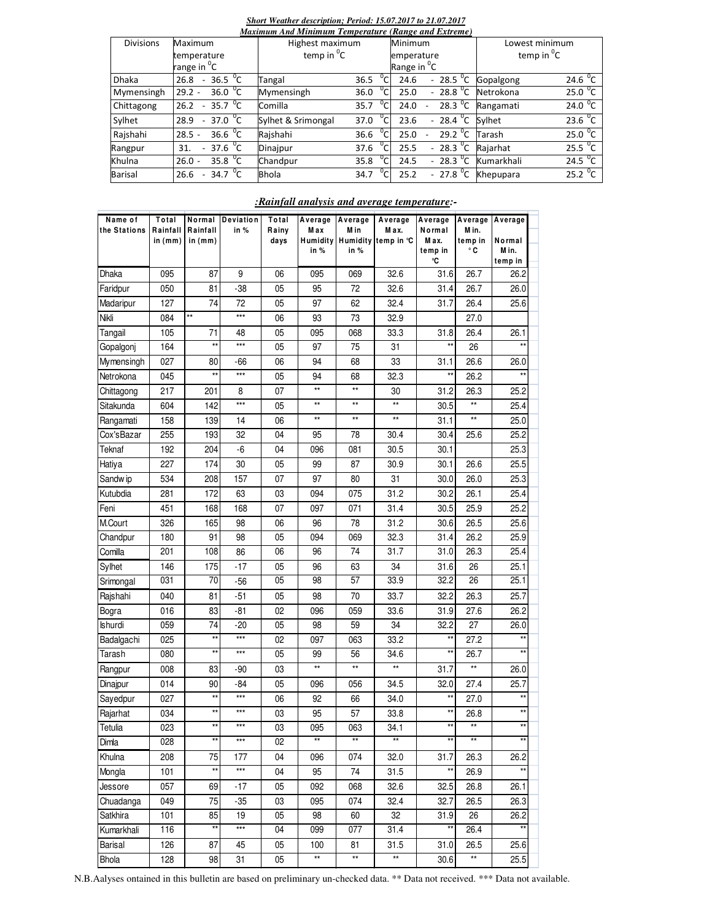## *Short Weather description; Period: 15.07.2017 to 21.07.2017*

| Maximum And Minimum Temperature (Range and Extreme) |                                                 |                    |               |                                                       |                        |                        |  |  |  |
|-----------------------------------------------------|-------------------------------------------------|--------------------|---------------|-------------------------------------------------------|------------------------|------------------------|--|--|--|
| <b>Divisions</b>                                    | Maximum                                         | Highest maximum    |               | Minimum                                               | Lowest minimum         |                        |  |  |  |
|                                                     | temperature                                     | temp in ${}^{0}C$  |               | emperature                                            | temp in <sup>0</sup> C |                        |  |  |  |
|                                                     | range in <sup>o</sup> C                         |                    |               | Range in <sup>o</sup> C                               |                        |                        |  |  |  |
| <b>Dhaka</b>                                        | 36.5 $\mathrm{^0C}$<br>26.8<br>$\sim$           | Tangal             | 36.5          | $-28.5\,\mathrm{^0C}$<br>24.6                         | Gopalgong              | 24.6 $^{0}$ C          |  |  |  |
| Mymensingh                                          | 36.0 $\mathrm{^0C}$<br>$29.2 -$                 | Mymensingh         | 36.0          | $-28.8\text{ °C}$<br>25.0                             | Netrokona              | 25.0 <sup>o</sup> C    |  |  |  |
| Chittagong                                          | 35.7 $\overline{C}$<br>26.2<br>$\sim$           | Comilla            | 35.7          | 28.3 $^{\circ}$ C<br>24.0<br>$\overline{\phantom{a}}$ | Rangamati              | 24.0 $^{\circ}$ C      |  |  |  |
| Sylhet                                              | $37.0 \text{ }^{\circ}C$<br>28.9<br>$\sim$      | Sylhet & Srimongal | $^0C$<br>37.0 | $-28.4$ <sup>o</sup> C Sylhet<br>23.6                 |                        | 23.6 $^0$ C            |  |  |  |
| Rajshahi                                            | 36.6 $^{\circ}$ C<br>$28.5 -$                   | Rajshahi           | 36.6          | 29.2 $\degree$ C<br>25.0                              | Tarash                 | 25.0 <sup>0</sup> C    |  |  |  |
| Rangpur                                             | $-37.6 \text{ °C}$<br>31.                       | Dinajpur           | 37.6          | $-28.3 \text{ }^0C$<br>25.5                           | Rajarhat               | 25.5 $^{\circ}$ C      |  |  |  |
| Khulna                                              | $35.8\text{ °C}$<br>$26.0 -$                    | Chandpur           | 35.8          | $-28.3\text{ °C}$<br>24.5                             | Kumarkhali             | $24.5\,\mathrm{^{0}C}$ |  |  |  |
| Barisal                                             | 34.7 $\mathrm{^{0}C}$<br>26.6<br>$\overline{a}$ | <b>Bhola</b>       | 34.7          | $-27.8\text{ °C}$<br>25.2                             | Khepupara              | $25.2^{0}C$            |  |  |  |

#### *:Rainfall analysis and average temperature:-*

| Name of<br>the Stations | Total<br>Rainfall<br>in (mm) | Rainfall<br>in (mm) | Normal Deviation<br>in % | Total<br>Rainy<br>days | Average<br>Max<br>Humidity<br>in % | Average<br>M in<br>in $%$ | Average<br>M ax.<br>Humidity temp in °C | Average<br>Normal<br>Max.<br>temp in | M in.<br>temp in<br>۰c | Average Average<br>Normal<br>M in. |  |
|-------------------------|------------------------------|---------------------|--------------------------|------------------------|------------------------------------|---------------------------|-----------------------------------------|--------------------------------------|------------------------|------------------------------------|--|
|                         |                              |                     |                          |                        |                                    |                           |                                         | ℃                                    |                        | temp in                            |  |
| Dhaka                   | 095                          | 87                  | 9                        | 06                     | 095                                | 069                       | 32.6                                    | 31.6                                 | 26.7                   | 26.2                               |  |
| Faridpur                | 050                          | 81                  | -38                      | 05                     | 95                                 | 72                        | 32.6                                    | 31.4                                 | 26.7                   | 26.0                               |  |
| Madaripur               | 127                          | 74                  | 72                       | 05                     | 97                                 | 62                        | 32.4                                    | 31.7                                 | 26.4                   | 25.6                               |  |
| Nikli                   | 084                          | $\star\star$        | $***$                    | 06                     | 93                                 | 73                        | 32.9                                    |                                      | 27.0                   |                                    |  |
| Tangail                 | 105                          | 71                  | 48                       | 05                     | 095                                | 068                       | 33.3                                    | 31.8                                 | 26.4                   | 26.1                               |  |
| Gopalgonj               | 164                          | $\star\star$        | ***                      | 05                     | 97                                 | 75                        | 31                                      | $\star\star$                         | 26                     |                                    |  |
| Mymensingh              | 027                          | 80                  | -66                      | 06                     | 94                                 | 68                        | 33                                      | 31.1                                 | 26.6                   | 26.0                               |  |
| Netrokona               | 045                          | **                  | ***                      | 05                     | 94                                 | 68                        | 32.3                                    | $\star\star$                         | 26.2                   |                                    |  |
| Chittagong              | 217                          | 201                 | 8                        | 07                     | $\star\star$                       | $\star\star$              | 30                                      | 31.2                                 | 26.3                   | 25.2                               |  |
| Sitakunda               | 604                          | 142                 | ***                      | 05                     | **                                 | $\star\star$              | $^{\star\star}$                         | 30.5                                 | $\star\star$           | 25.4                               |  |
| Rangamati               | 158                          | 139                 | 14                       | 06                     | $\star\star$                       | $\star\star$              | $^{\star\star}$                         | 31.1                                 | $\star\star$           | 25.0                               |  |
| Cox'sBazar              | 255                          | 193                 | 32                       | 04                     | 95                                 | 78                        | 30.4                                    | 30.4                                 | 25.6                   | 25.2                               |  |
| Teknaf                  | 192                          | 204                 | -6                       | 04                     | 096                                | 081                       | 30.5                                    | 30.1                                 |                        | 25.3                               |  |
| Hatiya                  | 227                          | 174                 | 30                       | 05                     | 99                                 | 87                        | 30.9                                    | 30.1                                 | 26.6                   | 25.5                               |  |
| Sandw ip                | 534                          | 208                 | 157                      | 07                     | 97                                 | 80                        | 31                                      | 30.0                                 | 26.0                   | 25.3                               |  |
| Kutubdia                | 281                          | 172                 | 63                       | 03                     | 094                                | 075                       | 31.2                                    | 30.2                                 | 26.1                   | 25.4                               |  |
| Feni                    | 451                          | 168                 | 168                      | 07                     | 097                                | 071                       | 31.4                                    | 30.5                                 | 25.9                   | 25.2                               |  |
| M.Court                 | 326                          | 165                 | 98                       | 06                     | 96                                 | 78                        | 31.2                                    | 30.6                                 | 26.5                   | 25.6                               |  |
| Chandpur                | 180                          | 91                  | 98                       | 05                     | 094                                | 069                       | 32.3                                    | 31.4                                 | 26.2                   | 25.9                               |  |
| Comilla                 | 201                          | 108                 | 86                       | 06                     | 96                                 | 74                        | 31.7                                    | 31.0                                 | 26.3                   | 25.4                               |  |
| Sylhet                  | 146                          | 175                 | $-17$                    | 05                     | 96                                 | 63                        | 34                                      | 31.6                                 | 26                     | 25.1                               |  |
| Srimongal               | 031                          | 70                  | $-56$                    | 05                     | 98                                 | 57                        | 33.9                                    | 32.2                                 | 26                     | 25.1                               |  |
| Rajshahi                | 040                          | 81                  | $-51$                    | 05                     | 98                                 | 70                        | 33.7                                    | 32.2                                 | 26.3                   | 25.7                               |  |
| Bogra                   | 016                          | 83                  | -81                      | 02                     | 096                                | 059                       | 33.6                                    | 31.9                                 | 27.6                   | 26.2                               |  |
| <b>Ishurdi</b>          | 059                          | 74                  | -20                      | 05                     | 98                                 | 59                        | 34                                      | 32.2                                 | 27                     | 26.0                               |  |
| Badalgachi              | 025                          | **                  | ***                      | 02                     | 097                                | 063                       | 33.2                                    | $\star\star$                         | 27.2                   | $**$                               |  |
| Tarash                  | 080                          | $\star\star$        | ***                      | 05                     | 99                                 | 56                        | 34.6                                    | $\star\star$                         | 26.7                   |                                    |  |
| Rangpur                 | 008                          | 83                  | -90                      | 03                     | **                                 | $\star\star$              | **                                      | 31.7                                 | $^{\star\star}$        | 26.0                               |  |
| Dinajpur                | 014                          | 90                  | -84                      | 05                     | 096                                | 056                       | 34.5                                    | 32.0                                 | 27.4                   | 25.7                               |  |
| Sayedpur                | 027                          | **                  | $***$                    | 06                     | 92                                 | 66                        | 34.0                                    | $\star\star$                         | 27.0                   | $\star\star$                       |  |
| Rajarhat                | 034                          | **                  | ***                      | 03                     | 95                                 | 57                        | 33.8                                    | $\star\star$                         | 26.8                   | $\star\star$                       |  |
| Tetulia                 | 023                          | **                  | ***                      | 03                     | 095                                | 063                       | 34.1                                    | $\star\star$                         | $\star\star$           | $^{\star\star}$                    |  |
| Dimla                   | 028                          | **                  | $***$                    | 02                     | **                                 | $\star\star$              | $\star\star$                            | $\star\star$                         | **                     | $\star\star$                       |  |
| Khulna                  | 208                          | 75                  | 177                      | 04                     | 096                                | 074                       | 32.0                                    | 31.7                                 | 26.3                   | 26.2                               |  |
| Mongla                  | 101                          | $^{\star\star}$     | $***$                    | 04                     | 95                                 | 74                        | 31.5                                    | $^{\star\star}$                      | 26.9                   | $^{\star\star}$                    |  |
| Jessore                 | 057                          | 69                  | $-17$                    | 05                     | 092                                | 068                       | 32.6                                    | 32.5                                 | 26.8                   | 26.1                               |  |
| Chuadanga               | 049                          | 75                  | $-35$                    | 03                     | 095                                | 074                       | 32.4                                    | 32.7                                 | 26.5                   | 26.3                               |  |
| Satkhira                | 101                          | 85                  | 19                       | 05                     | 98                                 | 60                        | 32                                      | 31.9                                 | 26                     | 26.2                               |  |
| Kumarkhali              | 116                          | **                  | $***$                    | 04                     | 099                                | 077                       | 31.4                                    | $\star\star$                         | 26.4                   | $\star\star$                       |  |
| Barisal                 | 126                          | 87                  | 45                       | 05                     | 100                                | 81                        | 31.5                                    | 31.0                                 | 26.5                   | 25.6                               |  |
| Bhola                   | 128                          | 98                  | 31                       | 05                     | **                                 | $\star\star$              | $\star\star$                            | 30.6                                 | $^{\star\star}$        | 25.5                               |  |

N.B.Aalyses ontained in this bulletin are based on preliminary un-checked data. \*\* Data not received. \*\*\* Data not available.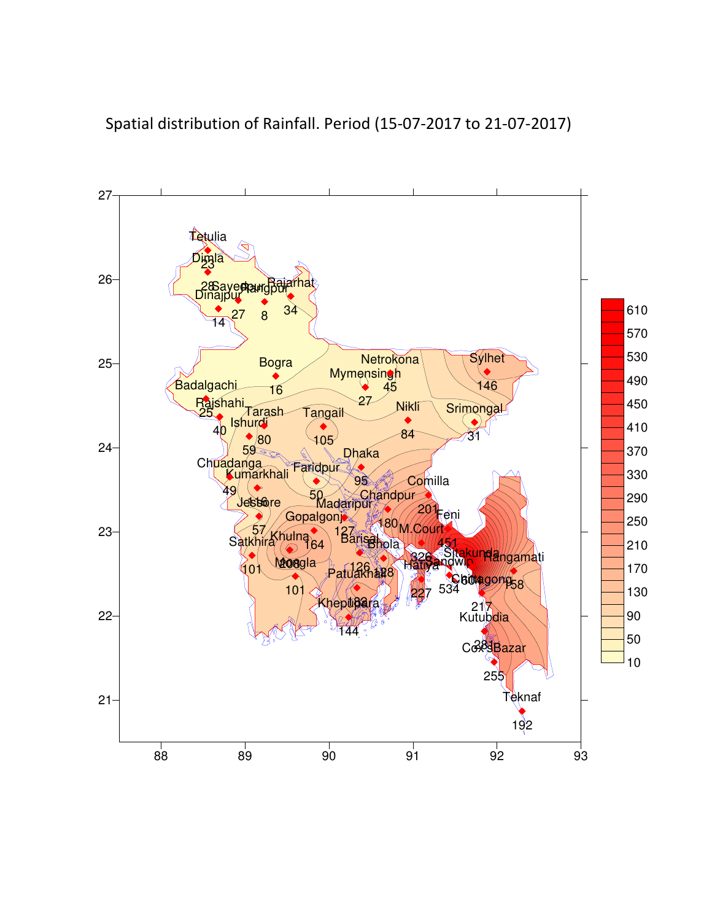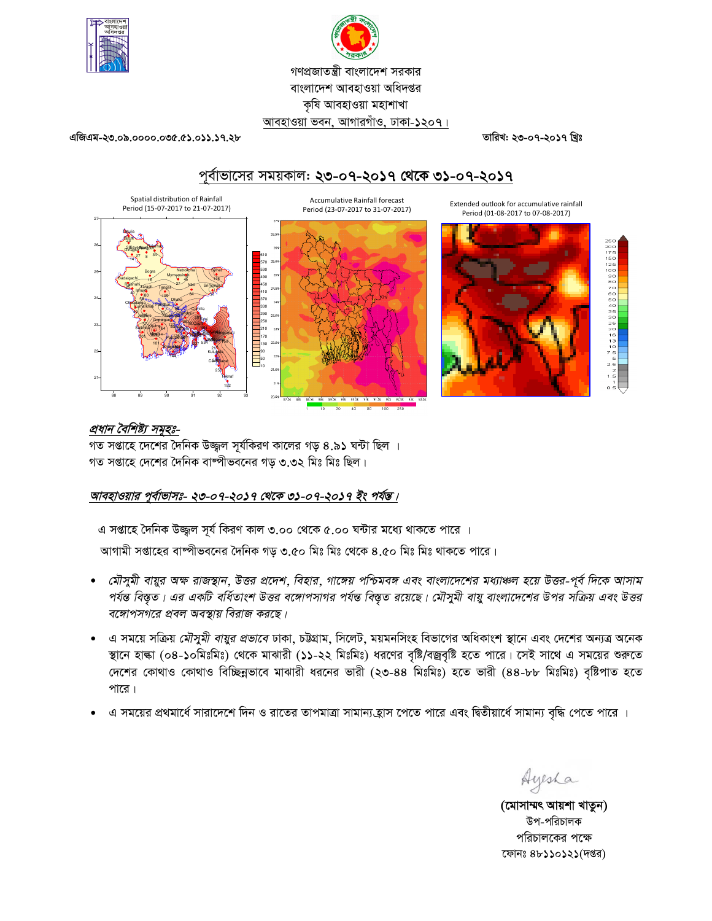

# গণপ্রজাতন্ত্রী বাংলাদেশ সরকার বাংলাদেশ আবহাওয়া অধিদপ্তর কৃষি আবহাওয়া মহাশাখা আবহাওয়া ভবন, আগারগাঁও, ঢাকা-১২০৭।

তারিখ: ২৩-০৭-২০১৭ খ্রিঃ

এজিএম-২৩.০৯.০০০০.০৩৫.৫১.০১১.১৭.২৮

Spatial distribution of Rainfall

# পূর্বাভাসের সময়কাল: ২৩-০৭-২০১৭ থেকে ৩১-০৭-২০১৭

**Accumulative Rainfall forecast** 





প্রধান বৈশিষ্ট্য সমূহঃ-

গত সপ্তাহে দেশের দৈনিক উজ্জ্বল সূর্যকিরণ কালের গড় ৪.৯১ ঘন্টা ছিল । গত সপ্তাহে দেশের দৈনিক বাষ্পীভবনের গড় ৩.৩২ মিঃ মিঃ ছিল।

# আবহাওয়ার পূর্বাভাসঃ- ২৩-০৭-২০১৭ থেকে ৩১-০৭-২০১৭ ইং পর্যন্ত।

এ সপ্তাহে দৈনিক উজ্জল সূর্য কিরণ কাল ৩.০০ থেকে ৫.০০ ঘন্টার মধ্যে থাকতে পারে ।

আগামী সপ্তাহের বাষ্পীভবনের দৈনিক গড় ৩.৫০ মিঃ মিঃ থেকে ৪.৫০ মিঃ মিঃ থাকতে পারে।

- মৌসুমী বায়ুর অক্ষ রাজস্থান, উত্তর প্রদেশ, বিহার, গাঙ্গেয় পশ্চিমবঙ্গ এবং বাংলাদেশের মধ্যাঞ্চল হয়ে উত্তর-পূর্ব দিকে আসাম পর্যন্ত বিস্তৃত। এর একটি বর্ধিতাংশ উত্তর বঙ্গোপসাগর পর্যন্ত বিস্তৃত রয়েছে। মৌসুমী বায়ু বাংলাদেশের উপর সক্রিয় এবং উত্তর বঙ্গোপসগরে প্রবল অবস্থায় বিরাজ করছে।
- এ সময়ে সক্রিয় *মৌসুমী বায়ুর প্রভাবে* ঢাকা, চট্টগ্রাম, সিলেট, ময়মনসিংহ বিভাগের অধিকাংশ স্থানে এবং দেশের অন্যত্র অনেক স্থানে হাল্কা (০৪-১০মিঃমিঃ) থেকে মাঝারী (১১-২২ মিঃমিঃ) ধরণের বৃষ্টি/বজ্রবৃষ্টি হতে পারে। সেই সাথে এ সময়ের শুরুতে দেশের কোথাও কোথাও বিচ্ছিন্নভাবে মাঝারী ধরনের ভারী (২৩-৪৪ মিঃমিঃ) হতে ভারী (৪৪-৮৮ মিঃমিঃ) বৃষ্টিপাত হতে পারে।
- এ সময়ের প্রথমার্ধে সারাদেশে দিন ও রাতের তাপমাত্রা সামান্য হ্রাস পেতে পারে এবং দ্বিতীয়ার্ধে সামান্য বৃদ্ধি পেতে পারে ।

Ayesha

(মোসাম্মৎ আয়শা খাতুন) উপ-পরিচালক পরিচালকের পক্ষে ফোনঃ ৪৮১১০১২১(দপ্তর)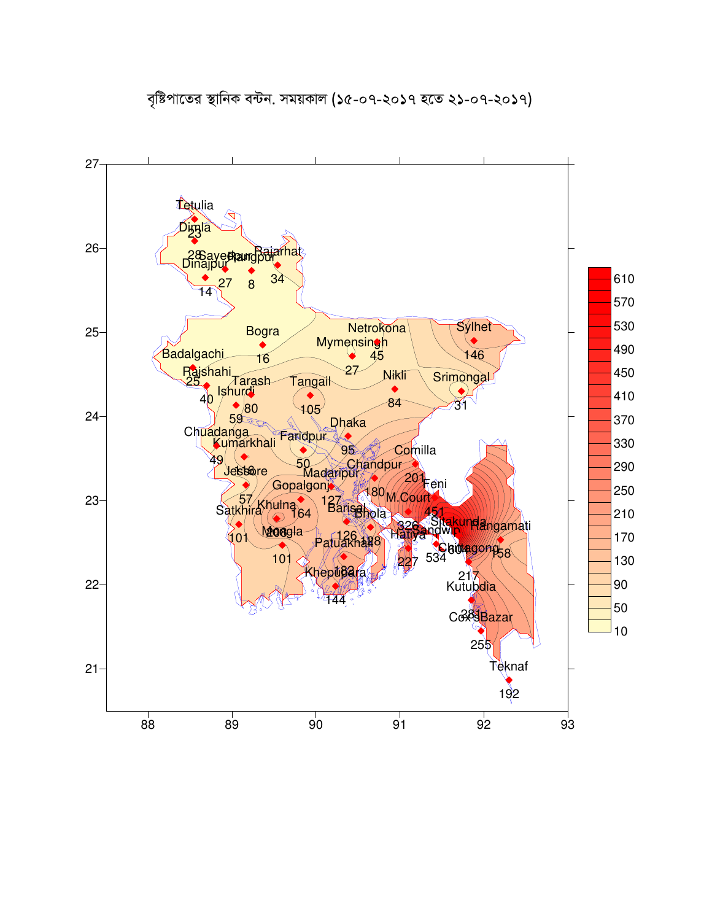